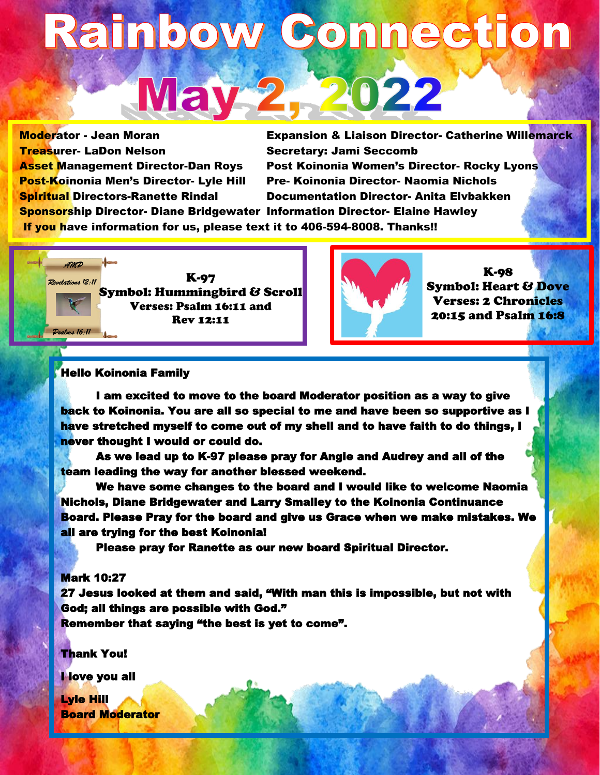# Rainbow Connection May 2, 2022

Treasurer- LaDon Nelson Secretary: Jami Seccomb

Moderator - Jean Moran Expansion & Liaison Director- Catherine Willemarck Asset Management Director-Dan Roys Post Koinonia Women's Director- Rocky Lyons Post-Koinonia Men's Director- Lyle Hill Pre- Koinonia Director- Naomia Nichols Spiritual Directors-Ranette Rindal Documentation Director- Anita Elvbakken Sponsorship Director- Diane Bridgewater Information Director- Elaine Hawley

If you have information for us, please text it to 406-594-8008. Thanks!!

AMP K-97 Revelations 12:11 Symbol: Hummingbird & Scroll Verses: Psalm 16:11 and Rev 12:11 Dealms 16:11



K-98 Symbol: Heart & Dove Verses: 2 Chronicles 20:15 and Psalm 16:8

# Hello Koinonia Family

I am excited to move to the board Moderator position as a way to give back to Koinonia. You are all so special to me and have been so supportive as I have stretched myself to come out of my shell and to have faith to do things, I never thought I would or could do.

As we lead up to K-97 please pray for Angie and Audrey and all of the team leading the way for another blessed weekend.

We have some changes to the board and I would like to welcome Naomia Nichols, Diane Bridgewater and Larry Smalley to the Koinonia Continuance Board. Please Pray for the board and give us Grace when we make mistakes. We all are trying for the best Koinonia!

Please pray for Ranette as our new board Spiritual Director.

# Mark 10:27

27 Jesus looked at them and said, "With man this is impossible, but not with God; all things are possible with God." Remember that saying "the best is yet to come".

Thank You!

I love you all

ŀ

Lyle Hill Board Moderator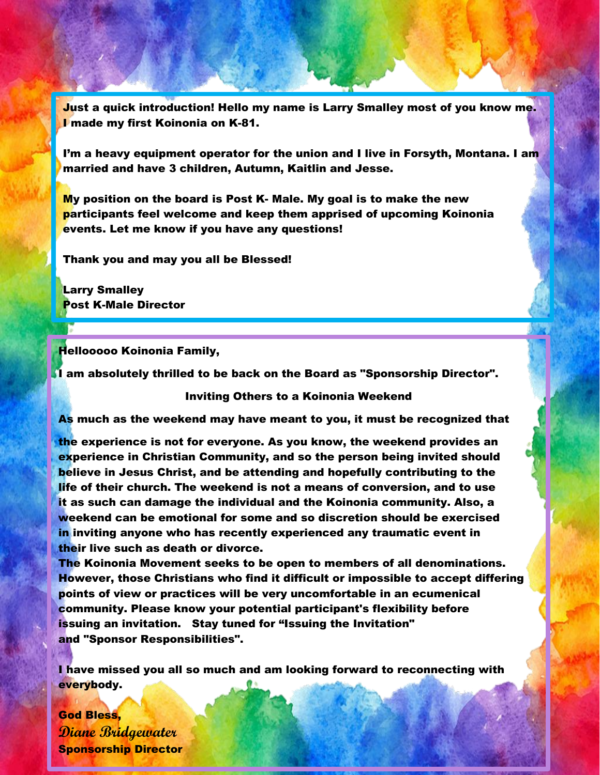Just a quick introduction! Hello my name is Larry Smalley most of you know me. I made my first Koinonia on K-81.

I'm a heavy equipment operator for the union and I live in Forsyth, Montana. I am married and have 3 children, Autumn, Kaitlin and Jesse.

My position on the board is Post K- Male. My goal is to make the new participants feel welcome and keep them apprised of upcoming Koinonia events. Let me know if you have any questions!

Thank you and may you all be Blessed!

Larry Smalley Post K-Male Director

Hellooooo Koinonia Family,

I am absolutely thrilled to be back on the Board as "Sponsorship Director".

### Inviting Others to a Koinonia Weekend

As much as the weekend may have meant to you, it must be recognized that

the experience is not for everyone. As you know, the weekend provides an experience in Christian Community, and so the person being invited should believe in Jesus Christ, and be attending and hopefully contributing to the life of their church. The weekend is not a means of conversion, and to use it as such can damage the individual and the Koinonia community. Also, a weekend can be emotional for some and so discretion should be exercised in inviting anyone who has recently experienced any traumatic event in their live such as death or divorce.

The Koinonia Movement seeks to be open to members of all denominations. However, those Christians who find it difficult or impossible to accept differing points of view or practices will be very uncomfortable in an ecumenical community. Please know your potential participant's flexibility before issuing an invitation. Stay tuned for "Issuing the Invitation" and "Sponsor Responsibilities".

I have missed you all so much and am looking forward to reconnecting with everybody.

God Bless, **Diane Bridgewater** Sponsorship Director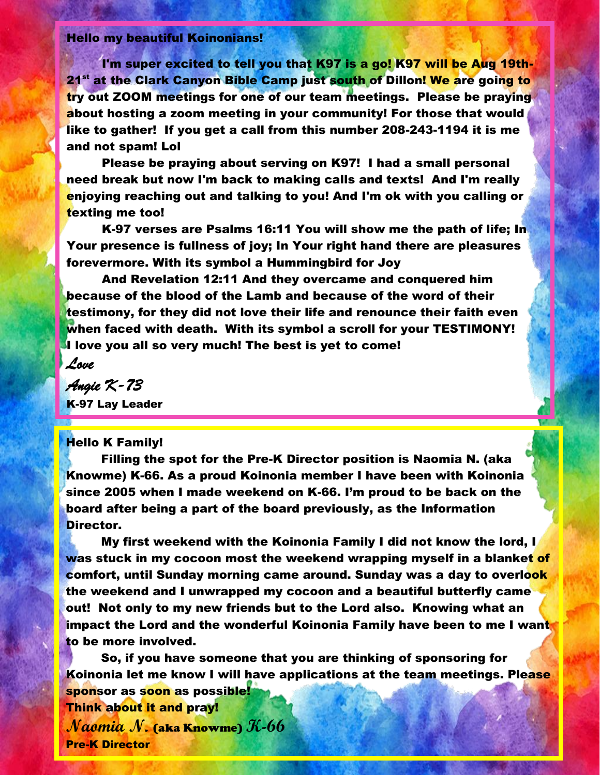# Hello my beautiful Koinonians!

I'm super excited to tell you that K97 is a go! K97 will be Aug 19th-21<sup>st</sup> at the Clark Canyon Bible Camp just south of Dillon! We are going to try out ZOOM meetings for one of our team meetings. Please be praying about hosting a zoom meeting in your community! For those that would like to gather! If you get a call from this number 208-243-1194 it is me and not spam! Lol

Please be praying about serving on K97! I had a small personal need break but now I'm back to making calls and texts! And I'm really enjoying reaching out and talking to you! And I'm ok with you calling or texting me too!

K-97 verses are Psalms 16:11 You will show me the path of life; In Your presence is fullness of joy; In Your right hand there are pleasures forevermore. With its symbol a Hummingbird for Joy

And Revelation 12:11 And they overcame and conquered him because of the blood of the Lamb and because of the word of their testimony, for they did not love their life and renounce their faith even when faced with death. With its symbol a scroll for your TESTIMONY! I love you all so very much! The best is yet to come!

*Love* 

*Angie K-73*  K-97 Lay Leader

## Hello K Family!

Filling the spot for the Pre-K Director position is Naomia N. (aka Knowme) K-66. As a proud Koinonia member I have been with Koinonia since 2005 when I made weekend on K-66. I'm proud to be back on the board after being a part of the board previously, as the Information Director.

My first weekend with the Koinonia Family I did not know the lord, I was stuck in my cocoon most the weekend wrapping myself in a blanket of comfort, until Sunday morning came around. Sunday was a day to overlook the weekend and I unwrapped my cocoon and a beautiful butterfly came out! Not only to my new friends but to the Lord also. Knowing what an impact the Lord and the wonderful Koinonia Family have been to me I want to be more involved.

So, if you have someone that you are thinking of sponsoring for Koinonia let me know I will have applications at the team meetings. Please sponsor as soon as possible! Think about it and pray! **Naomia N.** (aka Knowme) **K-66** 

Pre-K Director